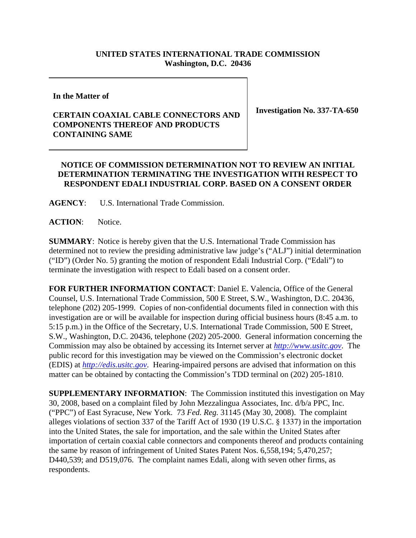## **UNITED STATES INTERNATIONAL TRADE COMMISSION Washington, D.C. 20436**

**In the Matter of** 

## **CERTAIN COAXIAL CABLE CONNECTORS AND COMPONENTS THEREOF AND PRODUCTS CONTAINING SAME**

**Investigation No. 337-TA-650**

## **NOTICE OF COMMISSION DETERMINATION NOT TO REVIEW AN INITIAL DETERMINATION TERMINATING THE INVESTIGATION WITH RESPECT TO RESPONDENT EDALI INDUSTRIAL CORP. BASED ON A CONSENT ORDER**

**AGENCY**: U.S. International Trade Commission.

**ACTION**: Notice.

**SUMMARY**: Notice is hereby given that the U.S. International Trade Commission has determined not to review the presiding administrative law judge's ("ALJ") initial determination ("ID") (Order No. 5) granting the motion of respondent Edali Industrial Corp. ("Edali") to terminate the investigation with respect to Edali based on a consent order.

**FOR FURTHER INFORMATION CONTACT**: Daniel E. Valencia, Office of the General Counsel, U.S. International Trade Commission, 500 E Street, S.W., Washington, D.C. 20436, telephone (202) 205-1999. Copies of non-confidential documents filed in connection with this investigation are or will be available for inspection during official business hours (8:45 a.m. to 5:15 p.m.) in the Office of the Secretary, U.S. International Trade Commission, 500 E Street, S.W., Washington, D.C. 20436, telephone (202) 205-2000. General information concerning the Commission may also be obtained by accessing its Internet server at *http://www.usitc.gov*. The public record for this investigation may be viewed on the Commission's electronic docket (EDIS) at *http://edis.usitc.gov*. Hearing-impaired persons are advised that information on this matter can be obtained by contacting the Commission's TDD terminal on (202) 205-1810.

**SUPPLEMENTARY INFORMATION**: The Commission instituted this investigation on May 30, 2008, based on a complaint filed by John Mezzalingua Associates, Inc. d/b/a PPC, Inc. ("PPC") of East Syracuse, New York. 73 *Fed. Reg.* 31145 (May 30, 2008). The complaint alleges violations of section 337 of the Tariff Act of 1930 (19 U.S.C. § 1337) in the importation into the United States, the sale for importation, and the sale within the United States after importation of certain coaxial cable connectors and components thereof and products containing the same by reason of infringement of United States Patent Nos. 6,558,194; 5,470,257; D440,539; and D519,076. The complaint names Edali, along with seven other firms, as respondents.